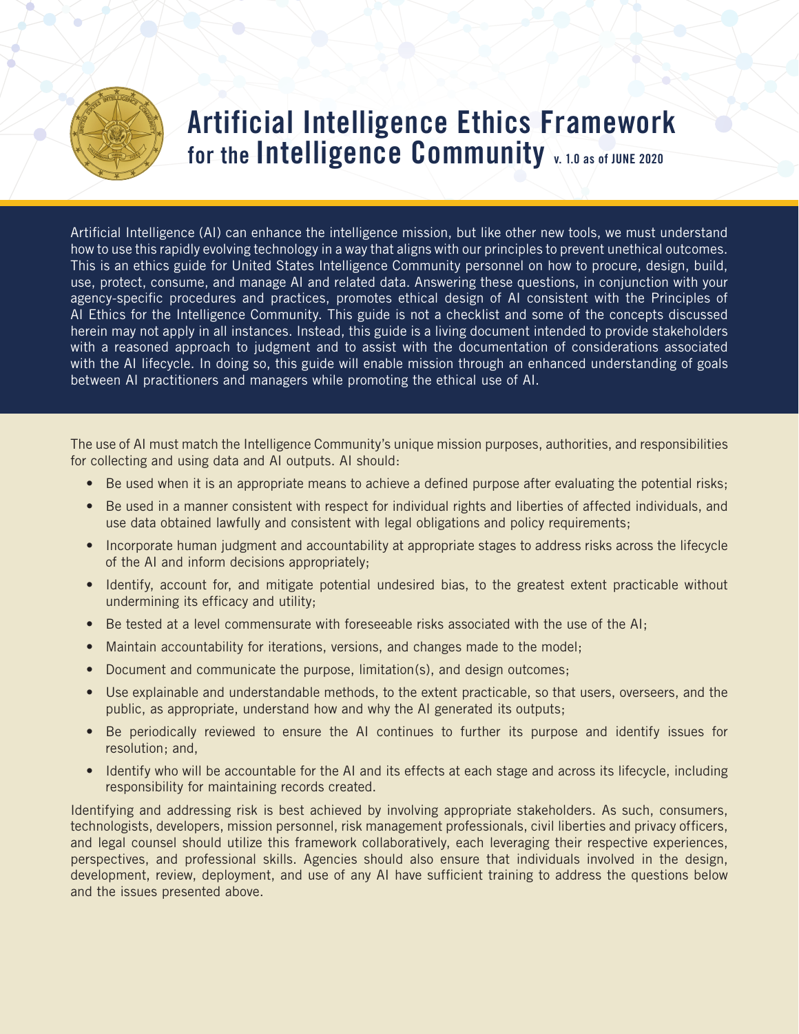

## **Artificial Intelligence Ethics Framework for the Intelligence Community v. 1.0 as of JUNE 2020**

Artificial Intelligence (AI) can enhance the intelligence mission, but like other new tools, we must understand how to use this rapidly evolving technology in a way that aligns with our principles to prevent unethical outcomes. This is an ethics guide for United States Intelligence Community personnel on how to procure, design, build, use, protect, consume, and manage AI and related data. Answering these questions, in conjunction with your agency-specific procedures and practices, promotes ethical design of AI consistent with the Principles of AI Ethics for the Intelligence Community. This guide is not a checklist and some of the concepts discussed herein may not apply in all instances. Instead, this guide is a living document intended to provide stakeholders with a reasoned approach to judgment and to assist with the documentation of considerations associated with the AI lifecycle. In doing so, this guide will enable mission through an enhanced understanding of goals between AI practitioners and managers while promoting the ethical use of AI.

The use of AI must match the Intelligence Community's unique mission purposes, authorities, and responsibilities for collecting and using data and AI outputs. AI should:

- Be used when it is an appropriate means to achieve a defined purpose after evaluating the potential risks;
- Be used in a manner consistent with respect for individual rights and liberties of affected individuals, and use data obtained lawfully and consistent with legal obligations and policy requirements;
- Incorporate human judgment and accountability at appropriate stages to address risks across the lifecycle of the AI and inform decisions appropriately;
- Identify, account for, and mitigate potential undesired bias, to the greatest extent practicable without undermining its efficacy and utility;
- Be tested at a level commensurate with foreseeable risks associated with the use of the AI;
- Maintain accountability for iterations, versions, and changes made to the model;
- Document and communicate the purpose, limitation(s), and design outcomes;
- Use explainable and understandable methods, to the extent practicable, so that users, overseers, and the public, as appropriate, understand how and why the AI generated its outputs;
- Be periodically reviewed to ensure the AI continues to further its purpose and identify issues for resolution; and,
- Identify who will be accountable for the AI and its effects at each stage and across its lifecycle, including responsibility for maintaining records created.

Identifying and addressing risk is best achieved by involving appropriate stakeholders. As such, consumers, technologists, developers, mission personnel, risk management professionals, civil liberties and privacy officers, and legal counsel should utilize this framework collaboratively, each leveraging their respective experiences, perspectives, and professional skills. Agencies should also ensure that individuals involved in the design, development, review, deployment, and use of any AI have sufficient training to address the questions below and the issues presented above.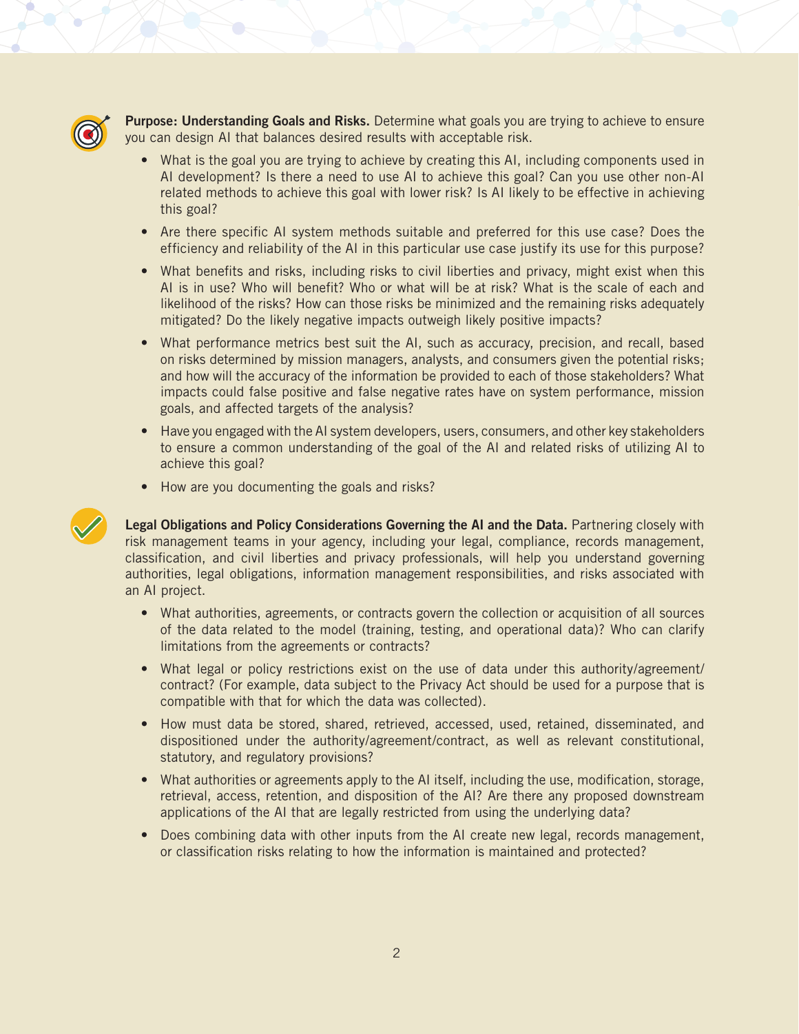

**Purpose: Understanding Goals and Risks.** Determine what goals you are trying to achieve to ensure you can design AI that balances desired results with acceptable risk.

- What is the goal you are trying to achieve by creating this AI, including components used in AI development? Is there a need to use AI to achieve this goal? Can you use other non-AI related methods to achieve this goal with lower risk? Is AI likely to be effective in achieving this goal?
- Are there specific AI system methods suitable and preferred for this use case? Does the efficiency and reliability of the AI in this particular use case justify its use for this purpose?
- What benefits and risks, including risks to civil liberties and privacy, might exist when this AI is in use? Who will benefit? Who or what will be at risk? What is the scale of each and likelihood of the risks? How can those risks be minimized and the remaining risks adequately mitigated? Do the likely negative impacts outweigh likely positive impacts?
- What performance metrics best suit the AI, such as accuracy, precision, and recall, based on risks determined by mission managers, analysts, and consumers given the potential risks; and how will the accuracy of the information be provided to each of those stakeholders? What impacts could false positive and false negative rates have on system performance, mission goals, and affected targets of the analysis?
- Have you engaged with the AI system developers, users, consumers, and other key stakeholders to ensure a common understanding of the goal of the AI and related risks of utilizing AI to achieve this goal?
- How are you documenting the goals and risks?



**Legal Obligations and Policy Considerations Governing the AI and the Data.** Partnering closely with risk management teams in your agency, including your legal, compliance, records management, classification, and civil liberties and privacy professionals, will help you understand governing authorities, legal obligations, information management responsibilities, and risks associated with an AI project.

- What authorities, agreements, or contracts govern the collection or acquisition of all sources of the data related to the model (training, testing, and operational data)? Who can clarify limitations from the agreements or contracts?
- What legal or policy restrictions exist on the use of data under this authority/agreement/ contract? (For example, data subject to the Privacy Act should be used for a purpose that is compatible with that for which the data was collected).
- How must data be stored, shared, retrieved, accessed, used, retained, disseminated, and dispositioned under the authority/agreement/contract, as well as relevant constitutional, statutory, and regulatory provisions?
- What authorities or agreements apply to the AI itself, including the use, modification, storage, retrieval, access, retention, and disposition of the AI? Are there any proposed downstream applications of the AI that are legally restricted from using the underlying data?
- Does combining data with other inputs from the AI create new legal, records management, or classification risks relating to how the information is maintained and protected?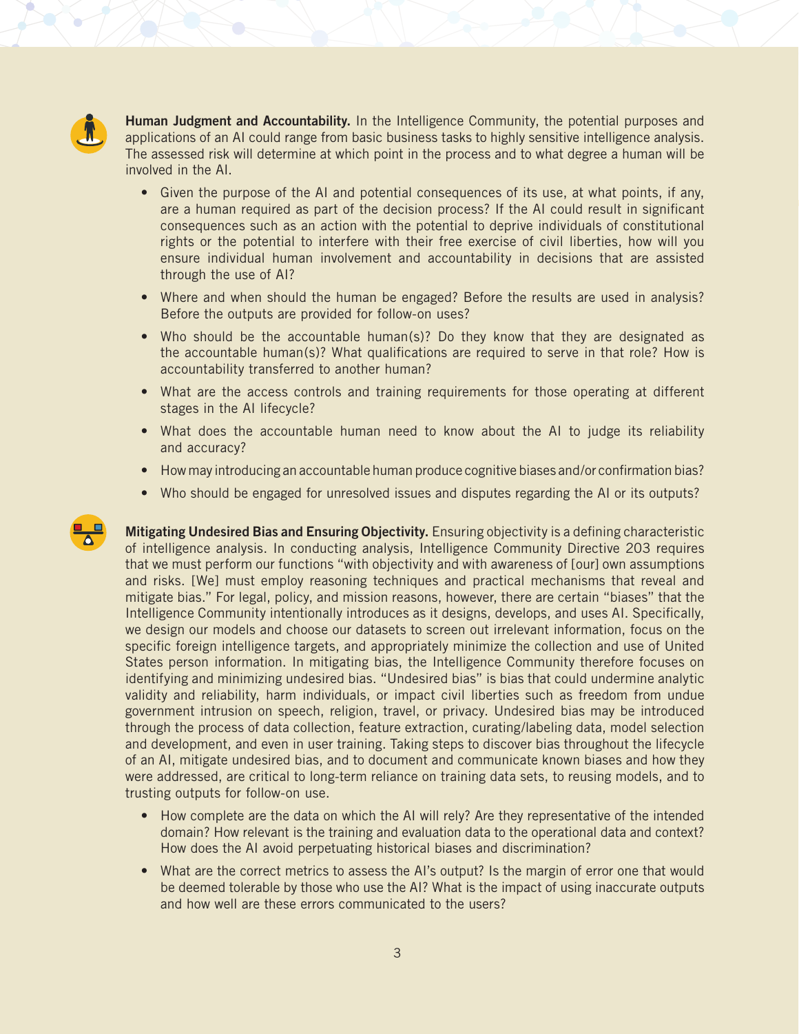

**Human Judgment and Accountability.** In the Intelligence Community, the potential purposes and applications of an AI could range from basic business tasks to highly sensitive intelligence analysis. The assessed risk will determine at which point in the process and to what degree a human will be involved in the AI.

- Given the purpose of the AI and potential consequences of its use, at what points, if any, are a human required as part of the decision process? If the AI could result in significant consequences such as an action with the potential to deprive individuals of constitutional rights or the potential to interfere with their free exercise of civil liberties, how will you ensure individual human involvement and accountability in decisions that are assisted through the use of AI?
- Where and when should the human be engaged? Before the results are used in analysis? Before the outputs are provided for follow-on uses?
- Who should be the accountable human(s)? Do they know that they are designated as the accountable human(s)? What qualifications are required to serve in that role? How is accountability transferred to another human?
- What are the access controls and training requirements for those operating at different stages in the AI lifecycle?
- What does the accountable human need to know about the AI to judge its reliability and accuracy?
- How may introducing an accountable human produce cognitive biases and/or confirmation bias?
- Who should be engaged for unresolved issues and disputes regarding the AI or its outputs?

**Mitigating Undesired Bias and Ensuring Objectivity.** Ensuring objectivity is a defining characteristic of intelligence analysis. In conducting analysis, Intelligence Community Directive 203 requires that we must perform our functions "with objectivity and with awareness of [our] own assumptions and risks. [We] must employ reasoning techniques and practical mechanisms that reveal and mitigate bias." For legal, policy, and mission reasons, however, there are certain "biases" that the Intelligence Community intentionally introduces as it designs, develops, and uses AI. Specifically, we design our models and choose our datasets to screen out irrelevant information, focus on the specific foreign intelligence targets, and appropriately minimize the collection and use of United States person information. In mitigating bias, the Intelligence Community therefore focuses on identifying and minimizing undesired bias. "Undesired bias" is bias that could undermine analytic validity and reliability, harm individuals, or impact civil liberties such as freedom from undue government intrusion on speech, religion, travel, or privacy. Undesired bias may be introduced through the process of data collection, feature extraction, curating/labeling data, model selection and development, and even in user training. Taking steps to discover bias throughout the lifecycle of an AI, mitigate undesired bias, and to document and communicate known biases and how they were addressed, are critical to long-term reliance on training data sets, to reusing models, and to trusting outputs for follow-on use.

- How complete are the data on which the AI will rely? Are they representative of the intended domain? How relevant is the training and evaluation data to the operational data and context? How does the AI avoid perpetuating historical biases and discrimination?
- What are the correct metrics to assess the AI's output? Is the margin of error one that would be deemed tolerable by those who use the AI? What is the impact of using inaccurate outputs and how well are these errors communicated to the users?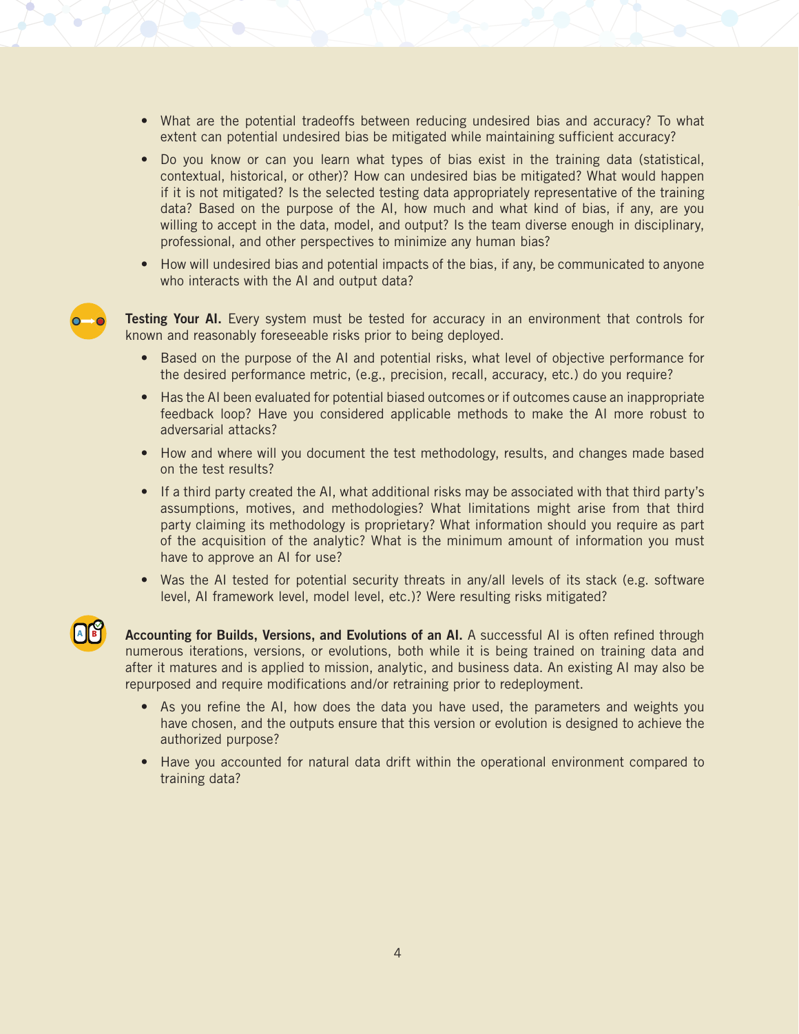- What are the potential tradeoffs between reducing undesired bias and accuracy? To what extent can potential undesired bias be mitigated while maintaining sufficient accuracy?
- Do you know or can you learn what types of bias exist in the training data (statistical, contextual, historical, or other)? How can undesired bias be mitigated? What would happen if it is not mitigated? Is the selected testing data appropriately representative of the training data? Based on the purpose of the AI, how much and what kind of bias, if any, are you willing to accept in the data, model, and output? Is the team diverse enough in disciplinary, professional, and other perspectives to minimize any human bias?
- How will undesired bias and potential impacts of the bias, if any, be communicated to anyone who interacts with the AI and output data?



**Testing Your AI.** Every system must be tested for accuracy in an environment that controls for known and reasonably foreseeable risks prior to being deployed.

- Based on the purpose of the AI and potential risks, what level of objective performance for the desired performance metric, (e.g., precision, recall, accuracy, etc.) do you require?
- Has the AI been evaluated for potential biased outcomes or if outcomes cause an inappropriate feedback loop? Have you considered applicable methods to make the AI more robust to adversarial attacks?
- How and where will you document the test methodology, results, and changes made based on the test results?
- If a third party created the AI, what additional risks may be associated with that third party's assumptions, motives, and methodologies? What limitations might arise from that third party claiming its methodology is proprietary? What information should you require as part of the acquisition of the analytic? What is the minimum amount of information you must have to approve an AI for use?
- Was the AI tested for potential security threats in any/all levels of its stack (e.g. software level, AI framework level, model level, etc.)? Were resulting risks mitigated?



**Accounting for Builds, Versions, and Evolutions of an AI.** A successful AI is often refined through numerous iterations, versions, or evolutions, both while it is being trained on training data and after it matures and is applied to mission, analytic, and business data. An existing AI may also be repurposed and require modifications and/or retraining prior to redeployment.

- As you refine the AI, how does the data you have used, the parameters and weights you have chosen, and the outputs ensure that this version or evolution is designed to achieve the authorized purpose?
- Have you accounted for natural data drift within the operational environment compared to training data?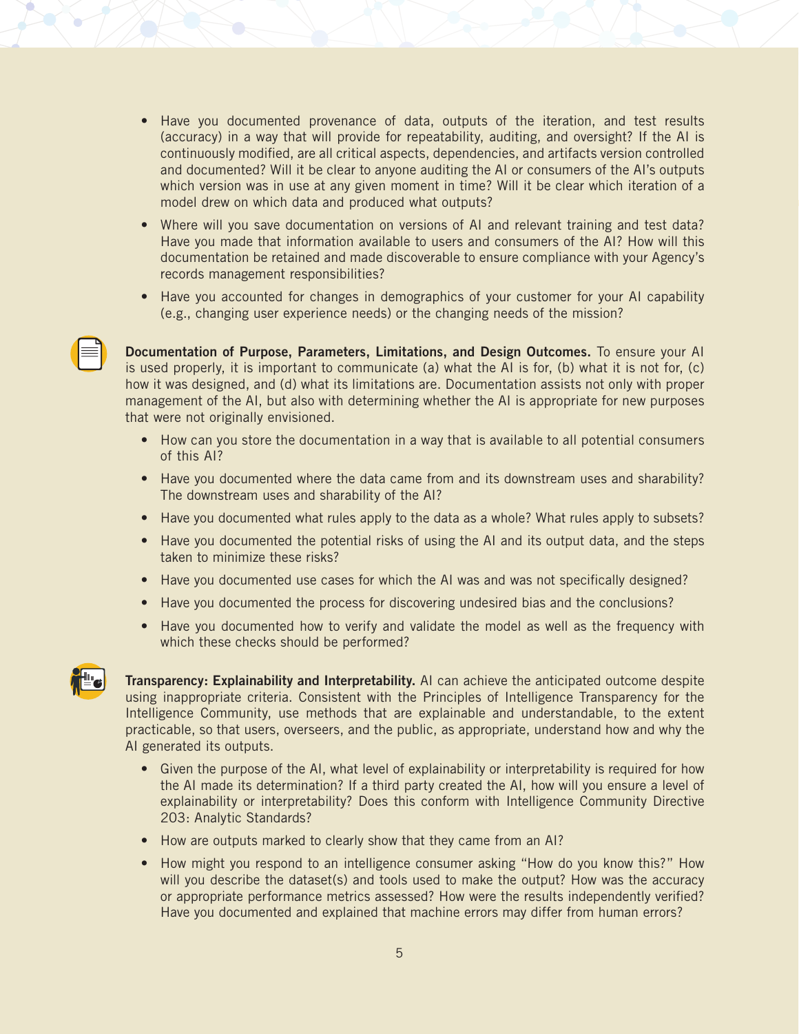- Have you documented provenance of data, outputs of the iteration, and test results (accuracy) in a way that will provide for repeatability, auditing, and oversight? If the AI is continuously modified, are all critical aspects, dependencies, and artifacts version controlled and documented? Will it be clear to anyone auditing the AI or consumers of the AI's outputs which version was in use at any given moment in time? Will it be clear which iteration of a model drew on which data and produced what outputs?
- Where will you save documentation on versions of AI and relevant training and test data? Have you made that information available to users and consumers of the AI? How will this documentation be retained and made discoverable to ensure compliance with your Agency's records management responsibilities?
- Have you accounted for changes in demographics of your customer for your AI capability (e.g., changing user experience needs) or the changing needs of the mission?

**Documentation of Purpose, Parameters, Limitations, and Design Outcomes.** To ensure your AI is used properly, it is important to communicate (a) what the AI is for, (b) what it is not for, (c) how it was designed, and (d) what its limitations are. Documentation assists not only with proper management of the AI, but also with determining whether the AI is appropriate for new purposes that were not originally envisioned.

- How can you store the documentation in a way that is available to all potential consumers of this AI?
- Have you documented where the data came from and its downstream uses and sharability? The downstream uses and sharability of the AI?
- Have you documented what rules apply to the data as a whole? What rules apply to subsets?
- Have you documented the potential risks of using the AI and its output data, and the steps taken to minimize these risks?
- Have you documented use cases for which the AI was and was not specifically designed?
- Have you documented the process for discovering undesired bias and the conclusions?
- Have you documented how to verify and validate the model as well as the frequency with which these checks should be performed?



**Transparency: Explainability and Interpretability.** AI can achieve the anticipated outcome despite using inappropriate criteria. Consistent with the Principles of Intelligence Transparency for the Intelligence Community, use methods that are explainable and understandable, to the extent practicable, so that users, overseers, and the public, as appropriate, understand how and why the AI generated its outputs.

- Given the purpose of the AI, what level of explainability or interpretability is required for how the AI made its determination? If a third party created the AI, how will you ensure a level of explainability or interpretability? Does this conform with Intelligence Community Directive 203: Analytic Standards?
- How are outputs marked to clearly show that they came from an AI?
- How might you respond to an intelligence consumer asking "How do you know this?" How will you describe the dataset(s) and tools used to make the output? How was the accuracy or appropriate performance metrics assessed? How were the results independently verified? Have you documented and explained that machine errors may differ from human errors?